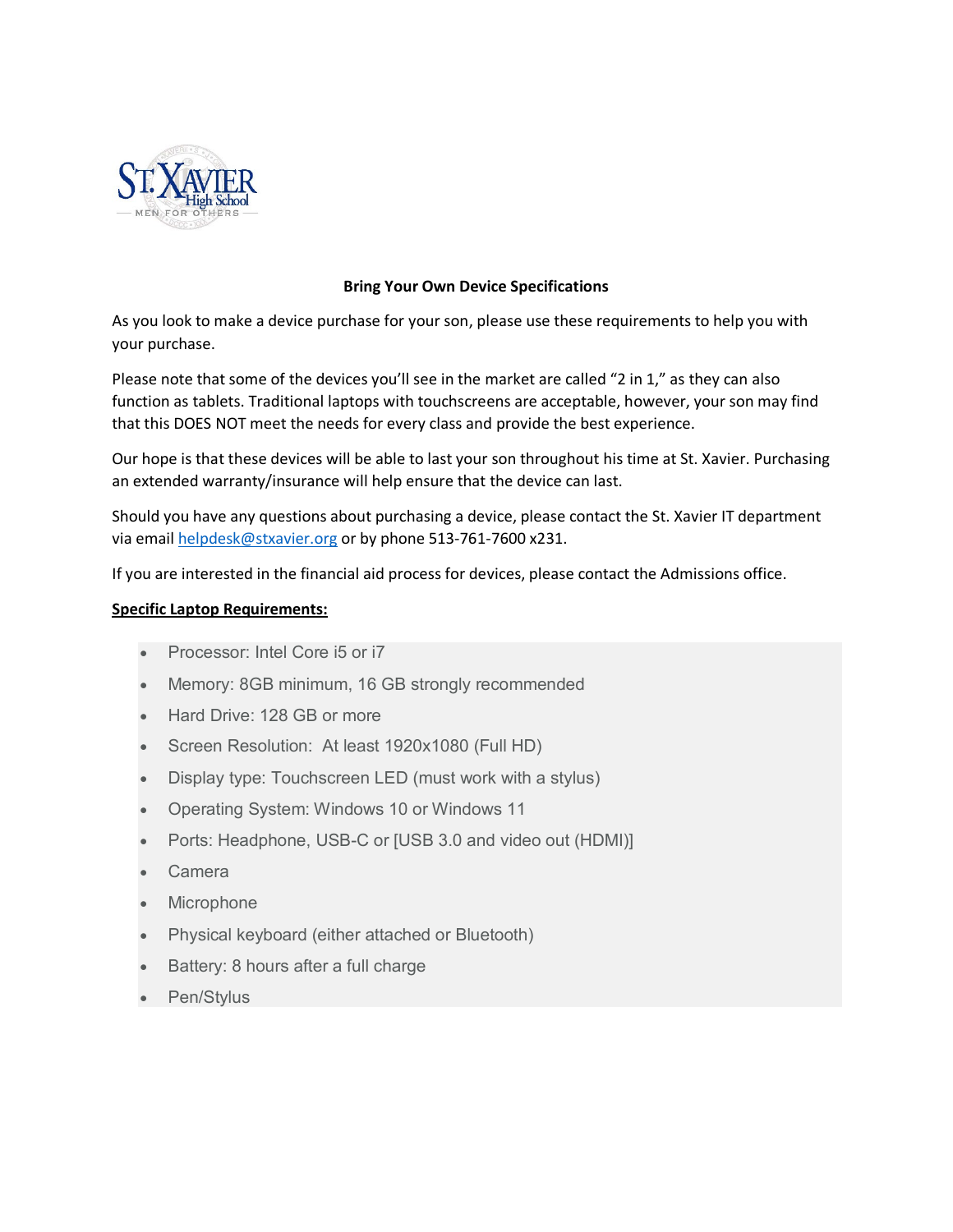

# **Bring Your Own Device Specifications**

As you look to make a device purchase for your son, please use these requirements to help you with your purchase.

Please note that some of the devices you'll see in the market are called "2 in 1," as they can also function as tablets. Traditional laptops with touchscreens are acceptable, however, your son may find that this DOES NOT meet the needs for every class and provide the best experience.

Our hope is that these devices will be able to last your son throughout his time at St. Xavier. Purchasing an extended warranty/insurance will help ensure that the device can last.

Should you have any questions about purchasing a device, please contact the St. Xavier IT department via email [helpdesk@stxavier.org](mailto:helpdesk@stxavier.org) or by phone 513-761-7600 x231.

If you are interested in the financial aid process for devices, please contact the Admissions office.

## **Specific Laptop Requirements:**

- Processor: Intel Core i5 or i7
- Memory: 8GB minimum, 16 GB strongly recommended
- Hard Drive: 128 GB or more
- Screen Resolution: At least 1920x1080 (Full HD)
- Display type: Touchscreen LED (must work with a stylus)
- Operating System: Windows 10 or Windows 11
- Ports: Headphone, USB-C or [USB 3.0 and video out (HDMI)]
- Camera
- Microphone
- Physical keyboard (either attached or Bluetooth)
- Battery: 8 hours after a full charge
- Pen/Stylus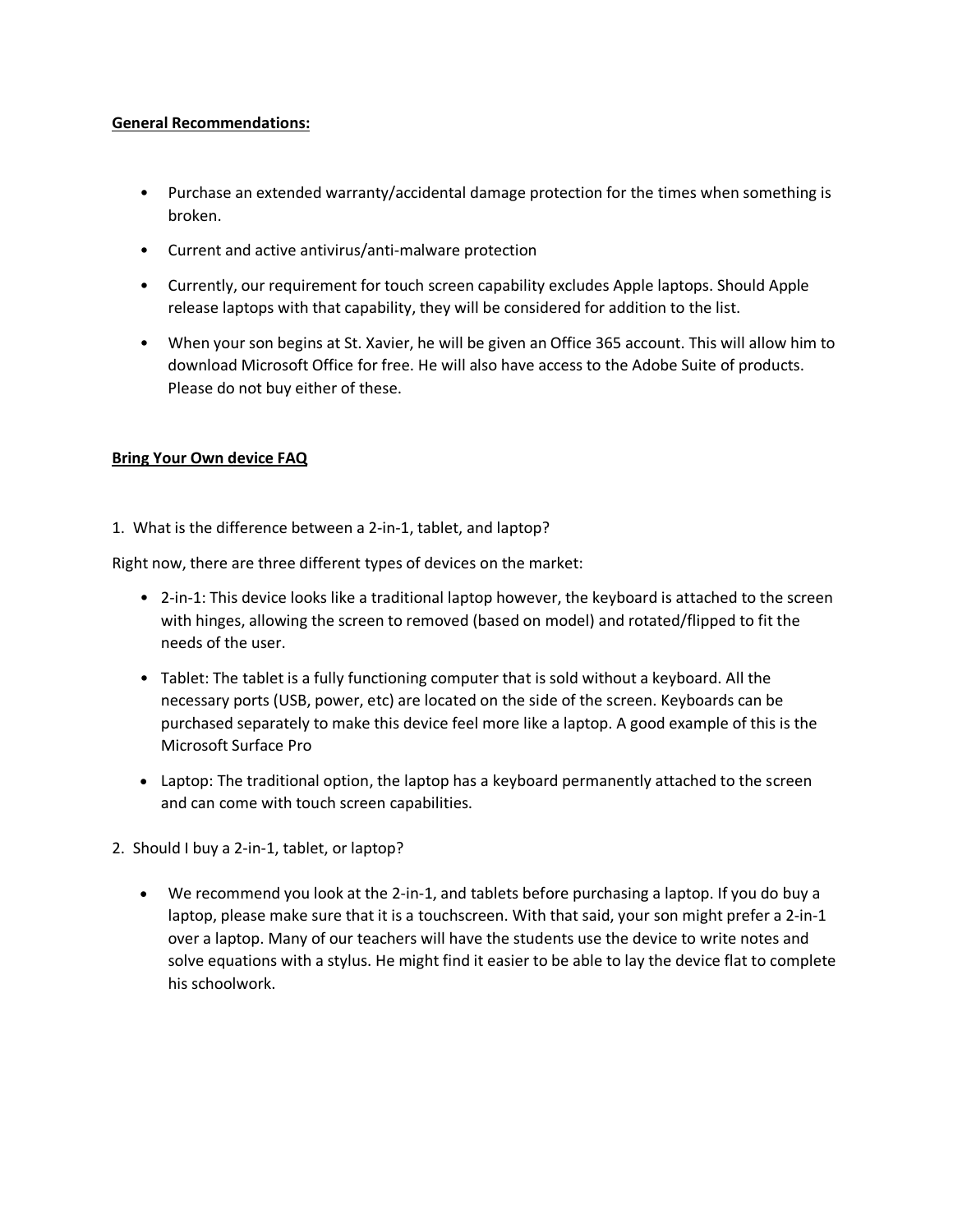### **General Recommendations:**

- Purchase an extended warranty/accidental damage protection for the times when something is broken.
- Current and active antivirus/anti-malware protection
- Currently, our requirement for touch screen capability excludes Apple laptops. Should Apple release laptops with that capability, they will be considered for addition to the list.
- When your son begins at St. Xavier, he will be given an Office 365 account. This will allow him to download Microsoft Office for free. He will also have access to the Adobe Suite of products. Please do not buy either of these.

# **Bring Your Own device FAQ**

1. What is the difference between a 2-in-1, tablet, and laptop?

Right now, there are three different types of devices on the market:

- 2-in-1: This device looks like a traditional laptop however, the keyboard is attached to the screen with hinges, allowing the screen to removed (based on model) and rotated/flipped to fit the needs of the user.
- Tablet: The tablet is a fully functioning computer that is sold without a keyboard. All the necessary ports (USB, power, etc) are located on the side of the screen. Keyboards can be purchased separately to make this device feel more like a laptop. A good example of this is the Microsoft Surface Pro
- Laptop: The traditional option, the laptop has a keyboard permanently attached to the screen and can come with touch screen capabilities.
- 2. Should I buy a 2-in-1, tablet, or laptop?
	- We recommend you look at the 2-in-1, and tablets before purchasing a laptop. If you do buy a laptop, please make sure that it is a touchscreen. With that said, your son might prefer a 2-in-1 over a laptop. Many of our teachers will have the students use the device to write notes and solve equations with a stylus. He might find it easier to be able to lay the device flat to complete his schoolwork.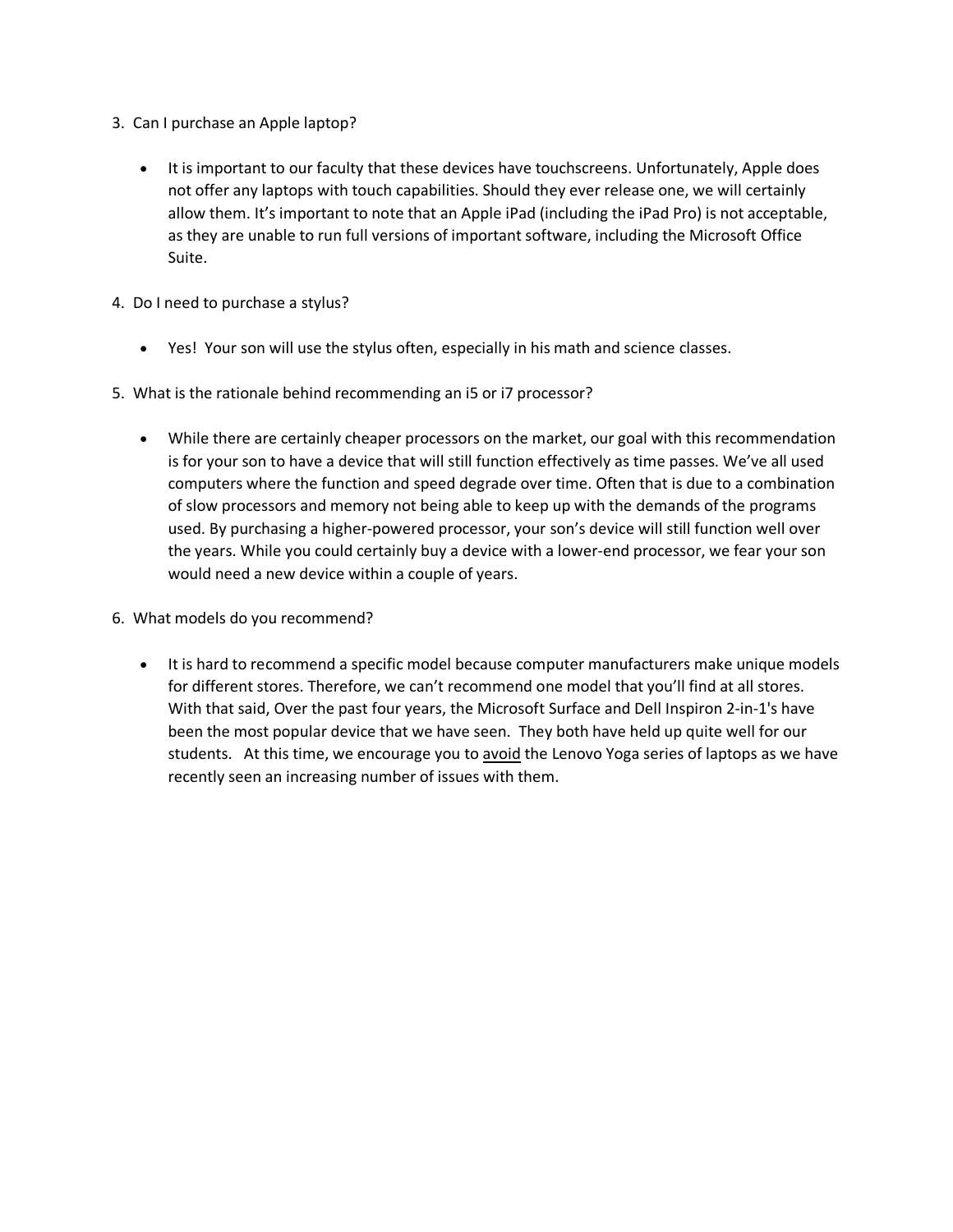- 3. Can I purchase an Apple laptop?
	- It is important to our faculty that these devices have touchscreens. Unfortunately, Apple does not offer any laptops with touch capabilities. Should they ever release one, we will certainly allow them. It's important to note that an Apple iPad (including the iPad Pro) is not acceptable, as they are unable to run full versions of important software, including the Microsoft Office Suite.
- 4. Do I need to purchase a stylus?
	- Yes! Your son will use the stylus often, especially in his math and science classes.
- 5. What is the rationale behind recommending an i5 or i7 processor?
	- While there are certainly cheaper processors on the market, our goal with this recommendation is for your son to have a device that will still function effectively as time passes. We've all used computers where the function and speed degrade over time. Often that is due to a combination of slow processors and memory not being able to keep up with the demands of the programs used. By purchasing a higher-powered processor, your son's device will still function well over the years. While you could certainly buy a device with a lower-end processor, we fear your son would need a new device within a couple of years.
- 6. What models do you recommend?
	- It is hard to recommend a specific model because computer manufacturers make unique models for different stores. Therefore, we can't recommend one model that you'll find at all stores. With that said, Over the past four years, the Microsoft Surface and Dell Inspiron 2-in-1's have been the most popular device that we have seen. They both have held up quite well for our students. At this time, we encourage you to avoid the Lenovo Yoga series of laptops as we have recently seen an increasing number of issues with them.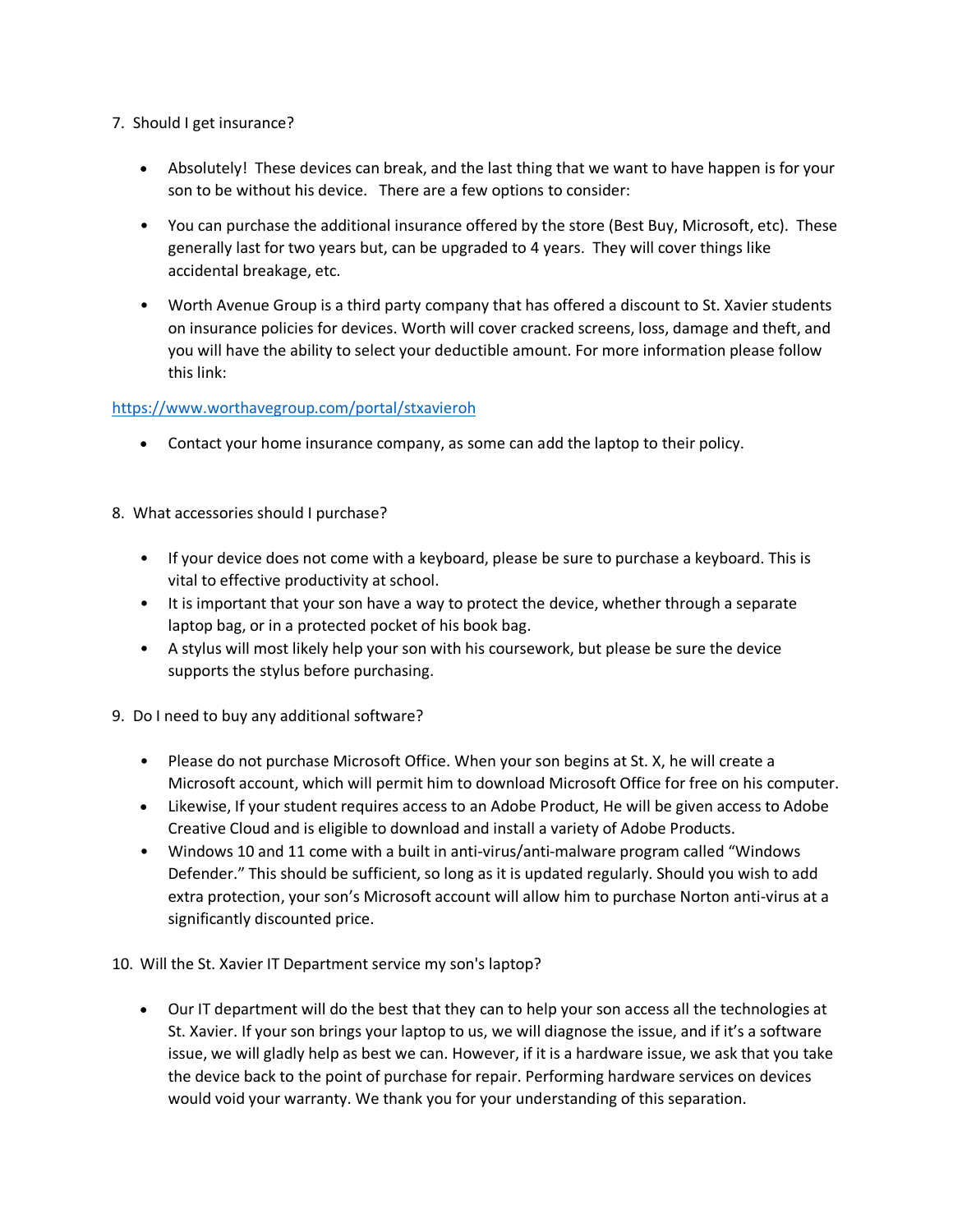- 7. Should I get insurance?
	- Absolutely! These devices can break, and the last thing that we want to have happen is for your son to be without his device. There are a few options to consider:
	- You can purchase the additional insurance offered by the store (Best Buy, Microsoft, etc). These generally last for two years but, can be upgraded to 4 years. They will cover things like accidental breakage, etc.
	- Worth Avenue Group is a third party company that has offered a discount to St. Xavier students on insurance policies for devices. Worth will cover cracked screens, loss, damage and theft, and you will have the ability to select your deductible amount. For more information please follow this link:

# <https://www.worthavegroup.com/portal/stxavieroh>

- Contact your home insurance company, as some can add the laptop to their policy.
- 8. What accessories should I purchase?
	- If your device does not come with a keyboard, please be sure to purchase a keyboard. This is vital to effective productivity at school.
	- It is important that your son have a way to protect the device, whether through a separate laptop bag, or in a protected pocket of his book bag.
	- A stylus will most likely help your son with his coursework, but please be sure the device supports the stylus before purchasing.
- 9. Do I need to buy any additional software?
	- Please do not purchase Microsoft Office. When your son begins at St. X, he will create a Microsoft account, which will permit him to download Microsoft Office for free on his computer.
	- Likewise, If your student requires access to an Adobe Product, He will be given access to Adobe Creative Cloud and is eligible to download and install a variety of Adobe Products.
	- Windows 10 and 11 come with a built in anti-virus/anti-malware program called "Windows Defender." This should be sufficient, so long as it is updated regularly. Should you wish to add extra protection, your son's Microsoft account will allow him to purchase Norton anti-virus at a significantly discounted price.

10. Will the St. Xavier IT Department service my son's laptop?

• Our IT department will do the best that they can to help your son access all the technologies at St. Xavier. If your son brings your laptop to us, we will diagnose the issue, and if it's a software issue, we will gladly help as best we can. However, if it is a hardware issue, we ask that you take the device back to the point of purchase for repair. Performing hardware services on devices would void your warranty. We thank you for your understanding of this separation.